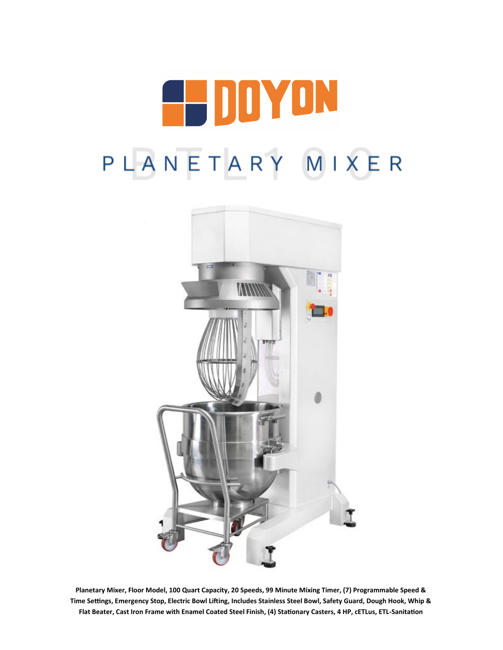



**Planetary Mixer, Floor Model, 100 Quart Capacity, 20 Speeds, 99 Minute Mixing Timer, (7) Programmable Speed & Time Settings, Emergency Stop, Electric Bowl Lifting, Includes Stainless Steel Bowl, Safety Guard, Dough Hook, Whip & Flat Beater, Cast Iron Frame with Enamel Coated Steel Finish, (4) Stationary Casters, 4 HP, cETLus, ETL-Sanitation**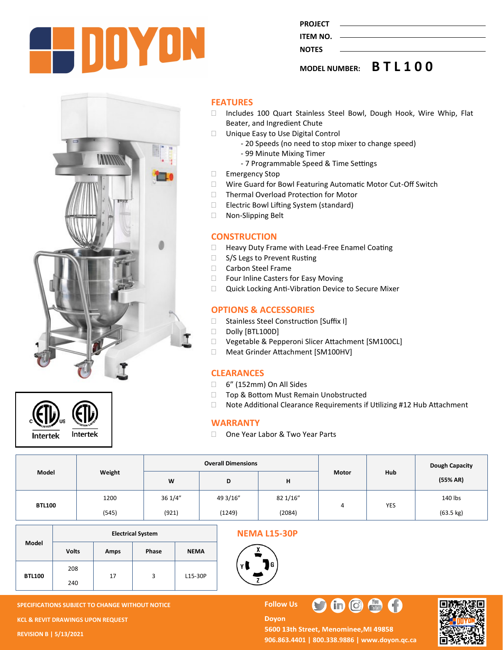

**PROJECT ITEM NO.** 

## **NOTES**

**MODEL NUMBER: B T L 1 0 0**





### **FEATURES**

- □ Includes 100 Quart Stainless Steel Bowl, Dough Hook, Wire Whip, Flat Beater, and Ingredient Chute
- □ Unique Easy to Use Digital Control
	- 20 Speeds (no need to stop mixer to change speed)
	- 99 Minute Mixing Timer
	- 7 Programmable Speed & Time Settings
- Emergency Stop
- Wire Guard for Bowl Featuring Automatic Motor Cut-Off Switch
- □ Thermal Overload Protection for Motor
- □ Electric Bowl Lifting System (standard)
- □ Non-Slipping Belt

## **CONSTRUCTION**

- □ Heavy Duty Frame with Lead-Free Enamel Coating
- □ S/S Legs to Prevent Rusting
- □ Carbon Steel Frame
- □ Four Inline Casters for Easy Moving
- □ Quick Locking Anti-Vibration Device to Secure Mixer

## **OPTIONS & ACCESSORIES**

- □ Stainless Steel Construction [Suffix I]
- Dolly [BTL100D]
- □ Vegetable & Pepperoni Slicer Attachment [SM100CL]
- □ Meat Grinder Attachment [SM100HV]

### **CLEARANCES**

- 6" (152mm) On All Sides
- □ Top & Bottom Must Remain Unobstructed
- □ Note Additional Clearance Requirements if Utilizing #12 Hub Attachment

## **WARRANTY**

□ One Year Labor & Two Year Parts

| Model         | Weight | <b>Overall Dimensions</b> |          |          |       |            | Dough Capacity      |
|---------------|--------|---------------------------|----------|----------|-------|------------|---------------------|
|               |        | W                         | D        | н        | Motor | Hub        | (55% AR)            |
| <b>BTL100</b> | 1200   | 36 1/4"                   | 49 3/16" | 82 1/16" | 4     | <b>YES</b> | 140 lbs             |
|               | (545)  | (921)                     | (1249)   | (2084)   |       |            | $(63.5 \text{ kg})$ |

|               | <b>Electrical System</b> |      |       |             |  |  |  |
|---------------|--------------------------|------|-------|-------------|--|--|--|
| Model         | <b>Volts</b>             | Amps | Phase | <b>NEMA</b> |  |  |  |
| <b>BTL100</b> | 208                      | 17   | 3     | L15-30P     |  |  |  |
|               | 240                      |      |       |             |  |  |  |

## **NEMA L15-30P**



#### **Doyon** 5600 13th Street, Menominee, MI 49858 **906.863.4401 | 800.338.9886 | [www.doyon.qc.ca](http://www.doyon.qc.ca/)**

 $\blacksquare$  $\blacksquare$ 

 $\frac{1}{\ln 4x}$